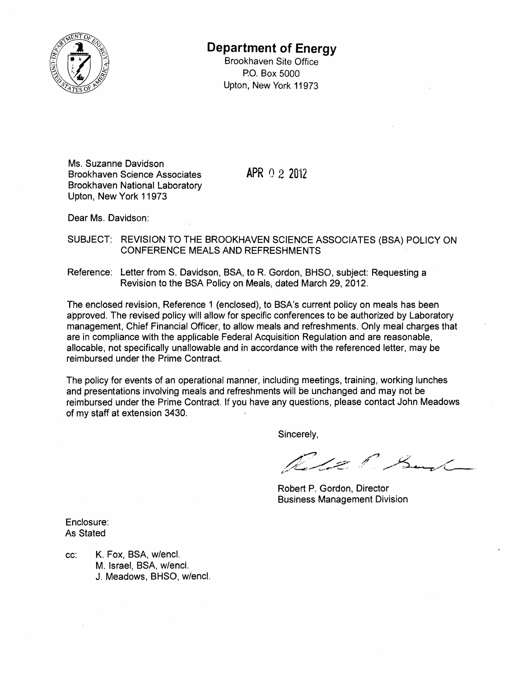

## **Department of Energy**

Brookhaven Site Office P.O. Box 5000 Upton, New York 11973

Ms. Suzanne Davidson Brookhaven Science Associates **APR** 0 2 2012 Brookhaven National Laboratory Upton, New York 11973

Dear Ms. Davidson:

SUBJECT: REVISION TO THE BROOKHAVEN SCIENCE ASSOCIATES (BSA) POLICY ON CONFERENCE MEALS AND REFRESHMENTS

Reference: Letter from S. Davidson, BSA, to R. Gordon, BHSO, subject: Requesting a Revision to the BSA Policy on Meals, dated March 29,2012.

The enclosed revision, Reference 1 (enclosed), to BSA's current policy on meals has been approved. The revised policy will allow for specific conferences to be authorized by Laboratory management, Chief Financial Officer, to allow meals and refreshments. Only meal charges that are in compliance with the applicable Federal Acquisition Regulation and are reasonable, allocable, not specifically unallowable and in accordance with the referenced letter, may be reimbursed under the Prime Contract.

The policy for events of an operational manner, including meetings, training, working lunches and presentations involving meals and refreshments will be unchanged and may not be reimbursed under the Prime Contract. If you have any questions, please contact John Meadows of my staff at extension 3430.

Sincerely,

Le P. Sand

Robert P. Gordon, Director Business Management Division

Enclosure: As Stated

cc: K. Fox, BSA, w/encl. M. Israel, BSA, w/encl. J. Meadows, BHSO, w/encl.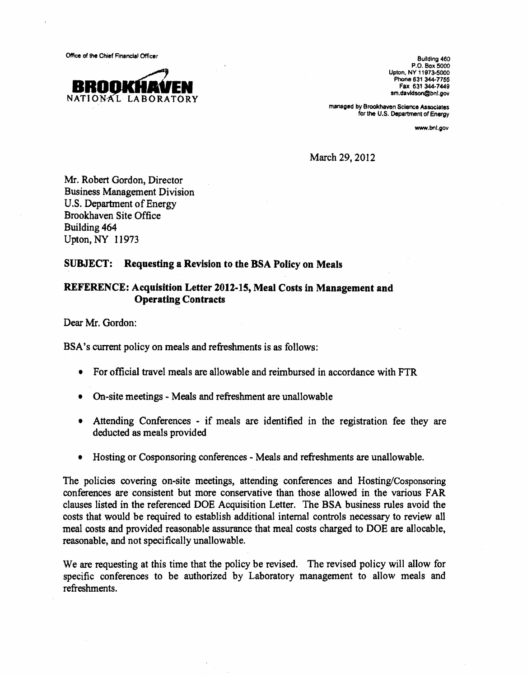Office of the Chief Financial Officer Building 460



P.O. Box 5000 Upton, NY 11973-5000 Phone 631 344-7755 Fax 631344·7449 sm.davidson@bnl.gov

managed by Brookhaven Science Associates for the U.S. Department of Energy

www.bnl.gov

March 29,2012

Mr. Robert Gordon, Director Business Management Division U.S. Department of Energy Brookhaven Site Office Building 464 Upton, NY 11973

## SUBJECT: Requesting a Revision to the BSA Policy on Meals

## REFERENCE: Acquisition Letter 2012-15, Meal Costs in Management and Operating Contracts

Dear Mr. Gordon:

BSA's current policy on meals and refreshments is as follows:

- For official travel meals are allowable and reimbursed in accordance with FTR
- On-site meetings Meals and refreshment are unallowable
- Attending Conferences if meals are identified in the registration fee they are deducted as meals provided
- Hosting or Cosponsoring conferences Meals and refreshments are unallowable.

The policies covering on-site meetings, attending conferences and Hosting/Cosponsoring conferences are consistent but more conservative than those allowed in the various FAR clauses listed in the referenced DOE Acquisition Letter. The BSA business rules avoid the costs that would be required to establish additional internal controls necessary to review all meal costs and provided reasonable assurance that meal costs charged to DOE are allocable, reasonable, and not specifically unallowable.

We are requesting at this time that the policy be revised. The revised policy will allow for specific conferences to be authorized by Laboratory management to allow meals and refreshments.